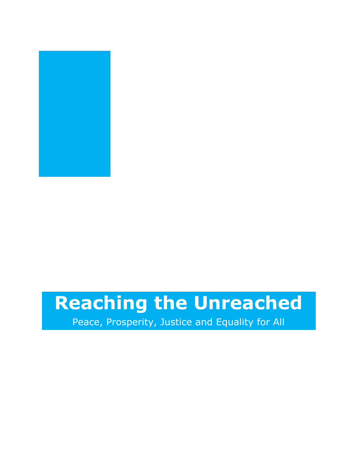

# **Reaching the Unreached**

Peace, Prosperity, Justice and Equality for All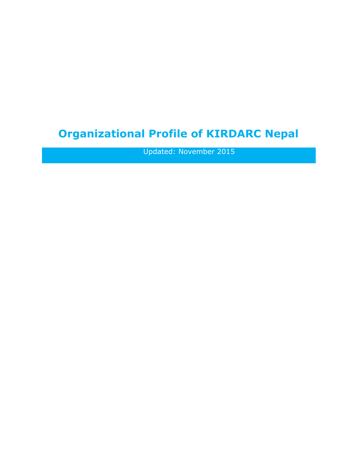# **Organizational Profile of KIRDARC Nepal**

Updated: November 2015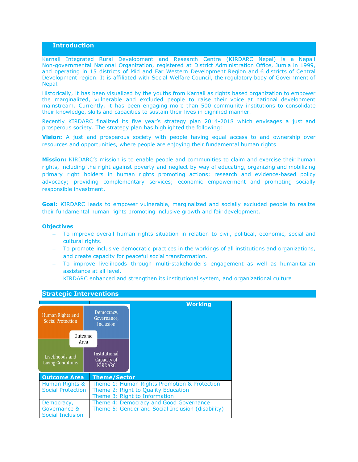#### **Introduction**

Karnali Integrated Rural Development and Research Centre (KIRDARC Nepal) is a Nepali Non-governmental National Organization, registered at District Administration Office, Jumla in 1999, and operating in 15 districts of Mid and Far Western Development Region and 6 districts of Central Development region. It is affiliated with Social Welfare Council, the regulatory body of Government of Nepal.

Historically, it has been visualized by the youths from Karnali as rights based organization to empower the marginalized, vulnerable and excluded people to raise their voice at national development mainstream. Currently, it has been engaging more than 500 community institutions to consolidate their knowledge, skills and capacities to sustain their lives in dignified manner.

Recently KIRDARC finalized its five year's strategy plan 2014-2018 which envisages a just and prosperous society. The strategy plan has highlighted the following:

**Vision:** A just and prosperous society with people having equal access to and ownership over resources and opportunities, where people are enjoying their fundamental human rights

**Mission:** KIRDARC's mission is to enable people and communities to claim and exercise their human rights, including the right against poverty and neglect by way of educating, organizing and mobilizing primary right holders in human rights promoting actions; research and evidence-based policy advocacy; providing complementary services; economic empowerment and promoting socially responsible investment.

**Goal:** KIRDARC leads to empower vulnerable, marginalized and socially excluded people to realize their fundamental human rights promoting inclusive growth and fair development.

#### **Objectives**

- To improve overall human rights situation in relation to civil, political, economic, social and cultural rights.
- To promote inclusive democratic practices in the workings of all institutions and organizations, and create capacity for peaceful social transformation.
- To improve livelihoods through multi-stakeholder's engagement as well as humanitarian assistance at all level.
- KIRDARC enhanced and strengthen its institutional system, and organizational culture



#### **Strategic Interventions**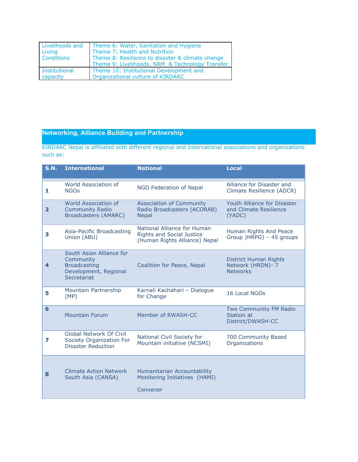| Livelihoods and<br>Living<br>Conditions | Theme 6: Water, Sanitation and Hygiene<br>Theme 7: Health and Nutrition<br>Theme 8: Resilience to disaster & climate change<br>Theme 9: Livelihoods, NRM & Technology Transfer |
|-----------------------------------------|--------------------------------------------------------------------------------------------------------------------------------------------------------------------------------|
| Institutional                           | Theme 10: Institutional Development and                                                                                                                                        |
| capacity                                | Organizational culture of KIRDARC                                                                                                                                              |

# **Networking, Alliance Building and Partnership**

KIRDARC Nepal is affiliated with different regional and International associations and organizations such as:

| <b>S.N.</b>             | <b>International</b>                                                                                 | <b>National</b>                                                                                  | <b>Local</b>                                                    |
|-------------------------|------------------------------------------------------------------------------------------------------|--------------------------------------------------------------------------------------------------|-----------------------------------------------------------------|
| 1                       | World Association of<br><b>NGOs</b>                                                                  | NGO Federation of Nepal                                                                          | Alliance for Disaster and<br>Climate Resilience (ADCR)          |
| $\overline{\mathbf{2}}$ | World Association of<br><b>Community Radio</b><br><b>Broadcasters (AMARC)</b>                        | <b>Association of Community</b><br>Radio Broadcasters (ACORAB)<br><b>Nepal</b>                   | Youth Alliance for Disaster<br>and Climate Resilience<br>(YADC) |
| 3                       | Asia-Pacific Broadcasting<br>Union (ABU)                                                             | National Alliance for Human<br><b>Rights and Social Justice</b><br>(Human Rights Alliance) Nepal | Human Rights And Peace<br>Group )HRPG) - 45 groups              |
| 4                       | South Asian Alliance for<br>Community<br><b>Broadcasting</b><br>Development, Regional<br>Secretariat | Coalition for Peace, Nepal                                                                       | District Human Rights<br>Network (HRDN)- 7<br><b>Networks</b>   |
| 5                       | Mountain Partnership<br>(MP)                                                                         | Karnali Kachahari - Dialogue<br>for Change                                                       | 16 Local NGOs                                                   |
| 6                       | <b>Mountain Forum</b>                                                                                | Member of RWASH-CC                                                                               | Two Community FM Radio<br>Station at<br>District/DWASH-CC       |
| 7                       | <b>Global Network Of Civil</b><br>Society Organization For<br><b>Disaster Reduction</b>              | National Civil Society for<br>Mountain initiative (NCSMI)                                        | 700 Community Based<br>Organizations                            |
| 8                       | <b>Climate Action Network</b><br>South Asia (CANSA)                                                  | Humanitarian Accountability<br>Monitoring Initiatives (HAMI)<br>Convener                         |                                                                 |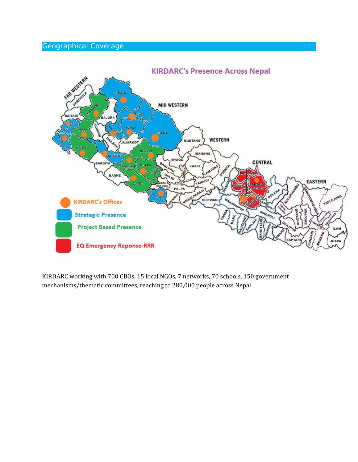# Geographical Coverage



KIRDARC working with 700 CBOs, 15 local NGOs, 7 networks, 70 schools, 150 government mechanisms/thematic committees, reaching to 280,000 people across Nepal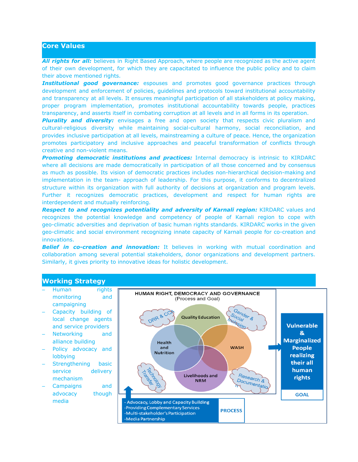# **Core Values**

*All rights for all:* believes in Right Based Approach, where people are recognized as the active agent of their own development, for which they are capacitated to influence the public policy and to claim their above mentioned rights.

**Institutional good governance:** espouses and promotes good governance practices through development and enforcement of policies, guidelines and protocols toward institutional accountability and transparency at all levels. It ensures meaningful participation of all stakeholders at policy making, proper program implementation, promotes institutional accountability towards people, practices transparency, and asserts itself in combating corruption at all levels and in all forms in its operation.

*Plurality and diversity:* envisages a free and open society that respects civic pluralism and cultural-religious diversity while maintaining social-cultural harmony, social reconciliation, and provides inclusive participation at all levels, mainstreaming a culture of peace. Hence, the organization promotes participatory and inclusive approaches and peaceful transformation of conflicts through creative and non-violent means.

*Promoting democratic institutions and practices:* Internal democracy is intrinsic to KIRDARC where all decisions are made democratically in participation of all those concerned and by consensus as much as possible. Its vision of democratic practices includes non-hierarchical decision-making and implementation in the team- approach of leadership. For this purpose, it conforms to decentralized structure within its organization with full authority of decisions at organization and program levels. Further it recognizes democratic practices, development and respect for human rights are interdependent and mutually reinforcing.

*Respect to and recognizes potentiality and adversity of Karnali region:* KIRDARC values and recognizes the potential knowledge and competency of people of Karnali region to cope with geo-climatic adversities and deprivation of basic human rights standards. KIRDARC works in the given geo-climatic and social environment recognizing innate capacity of Karnali people for co-creation and innovations.

**Belief in co-creation and** *innovation:* It believes in working with mutual coordination and collaboration among several potential stakeholders, donor organizations and development partners. Similarly, it gives priority to innovative ideas for holistic development.

# **Working Strategy**

- Human rights monitoring and campaigning
- Capacity building of local change agents and service providers
- Networking and alliance building
- Policy advocacy and lobbying
- Strengthening basic service delivery mechanism
- Campaigns and advocacy though media

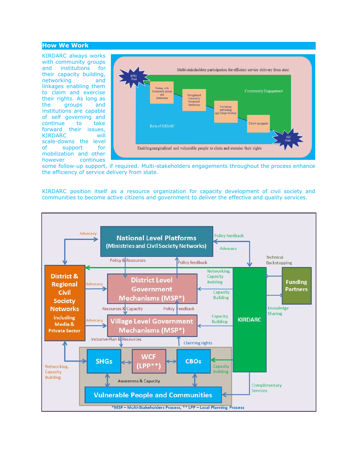#### **How We Work**

KIRDARC always works with community groups and institutions for their capacity building, networking and linkages enabling them to claim and exercise their rights. As long as the groups and institutions are capable of self governing and continue to take forward their issues, KIRDARC will scale-downs the level of support for mobilization and other however continues



some follow-up support, if required. Multi-stakeholders engagements throughout the process enhance the efficiency of service delivery from state.

KIRDARC position itself as a resource organization for capacity development of civil society and communities to become active citizens and government to deliver the effective and quality services.

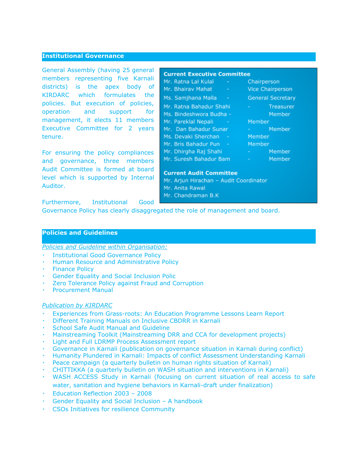### **Institutional Governance**

General Assembly (having 25 general members representing five Karnali districts) is the apex body of KIRDARC which formulates the policies. But execution of policies, operation and support for management, it elects 11 members Executive Committee for 2 years tenure.

For ensuring the policy compliances and governance, three members Audit Committee is formed at board level which is supported by Internal Auditor.

# **Current Executive Committee**

- Mr. Ratna Lal Kulal Mr. Bhairav Mahat Ms. Samjhana Malla Mr. Ratna Bahadur Shahi Ms. Bindeshwora Budha -Mr. Pareklal Nepali Mr. Dan Bahadur Sunar Ms. Devaki Sherchan -Mr. Bris Bahadur Pun -
- Mr. Dhirgha Raj Shahi
- Mr. Suresh Bahadur Bam
- Chairperson
	- **Vice Chairperson**
	- **General Secretary**
	- Treasurer
	- Member
		- Member
	- Member
	- Member
	- Member
		- Member
			- Member

### **Current Audit Committee**

Mr. Arjun Hirachan - Audit Coordinator Mr. Anita Rawal Mr. Chandraman B.K

Furthermore, Institutional Good

Governance Policy has clearly disaggregated the role of management and board.

# **Policies and Guidelines**

*Policies and Guideline within Organisation:*

- **Institutional Good Governance Policy**
- Human Resource and Administrative Policy
- **Finance Policy**
- **Gender Equality and Social Inclusion Polic**
- Zero Tolerance Policy against Fraud and Corruption
- **Procurement Manual**

# *Publication by KIRDARC*

- Experiences from Grass-roots: An Education Programme Lessons Learn Report
- **Different Training Manuals on Inclusive CBDRR in Karnali**
- School Safe Audit Manual and Guideline
- Mainstreaming Toolkit (Mainstreaming DRR and CCA for development projects)
- Light and Full LDRMP Process Assessment report
- Governance in Karnali (publication on governance situation in Karnali during conflict)
- Humanity Plundered in Karnali: Impacts of conflict Assessment Understanding Karnali
- Peace campaign (a quarterly bulletin on human rights situation of Karnali)
- CHITTIKKA (a quarterly bulletin on WASH situation and interventions in Karnali)
- WASH ACCESS Study in Karnali (focusing on current situation of real access to safe water, sanitation and hygiene behaviors in Karnali-draft under finalization)
- Education Reflection 2003 2008
- Gender Equality and Social Inclusion  $-$  A handbook
- CSOs Initiatives for resilience Community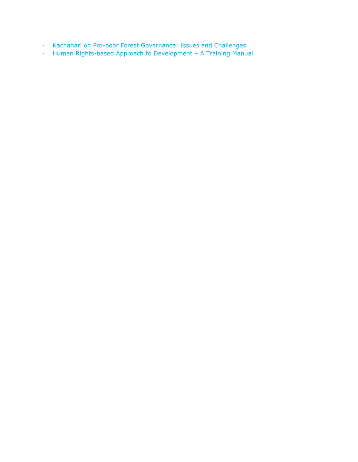- Kachahari on Pro-poor Forest Governance: Issues and Challenges
- Human Rights-based Approach to Development A Training Manual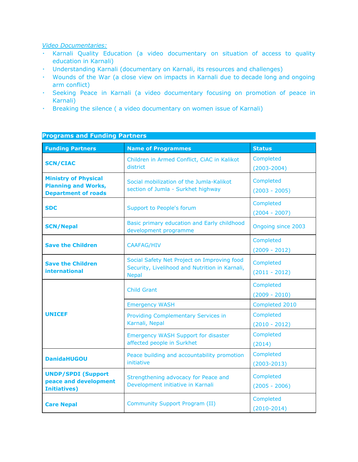# *Video Documentaries:*

- Karnali Quality Education (a video documentary on situation of access to quality education in Karnali)
- Understanding Karnali (documentary on Karnali, its resources and challenges)
- Wounds of the War (a close view on impacts in Karnali due to decade long and ongoing arm conflict)
- Seeking Peace in Karnali (a video documentary focusing on promotion of peace in Karnali)
- Breaking the silence ( a video documentary on women issue of Karnali)

| <b>Programs and Funding Partners</b>                                                    |                                                                                                               |                              |  |
|-----------------------------------------------------------------------------------------|---------------------------------------------------------------------------------------------------------------|------------------------------|--|
| <b>Funding Partners</b>                                                                 | <b>Name of Programmes</b>                                                                                     | <b>Status</b>                |  |
| <b>SCN/CIAC</b>                                                                         | Children in Armed Conflict, CiAC in Kalikot<br>district                                                       |                              |  |
| <b>Ministry of Physical</b><br><b>Planning and Works,</b><br><b>Department of roads</b> | Social mobilization of the Jumla-Kalikot<br>section of Jumla - Surkhet highway                                |                              |  |
| <b>SDC</b><br>Support to People's forum                                                 |                                                                                                               | Completed<br>$(2004 - 2007)$ |  |
| <b>SCN/Nepal</b>                                                                        | Basic primary education and Early childhood<br>development programme                                          | Ongoing since 2003           |  |
| <b>Save the Children</b><br><b>CAAFAG/HIV</b>                                           |                                                                                                               | Completed<br>$(2009 - 2012)$ |  |
| <b>Save the Children</b><br><b>international</b>                                        | Social Safety Net Project on Improving food<br>Security, Livelihood and Nutrition in Karnali,<br><b>Nepal</b> | Completed<br>$(2011 - 2012)$ |  |
|                                                                                         | <b>Child Grant</b>                                                                                            | Completed<br>$(2009 - 2010)$ |  |
|                                                                                         | <b>Emergency WASH</b>                                                                                         | Completed 2010               |  |
| <b>UNICEF</b>                                                                           | <b>Providing Complementary Services in</b><br>Karnali, Nepal                                                  | Completed<br>$(2010 - 2012)$ |  |
|                                                                                         | <b>Emergency WASH Support for disaster</b><br>affected people in Surkhet                                      | Completed<br>(2014)          |  |
| <b>DanidaHUGOU</b>                                                                      | Peace building and accountability promotion<br>initiative                                                     | Completed<br>$(2003 - 2013)$ |  |
| <b>UNDP/SPDI (Support</b><br>peace and development<br><b>Initiatives)</b>               | Strengthening advocacy for Peace and<br>Development initiative in Karnali                                     | Completed<br>$(2005 - 2006)$ |  |
| <b>Care Nepal</b>                                                                       | <b>Community Support Program (II)</b>                                                                         | Completed<br>$(2010-2014)$   |  |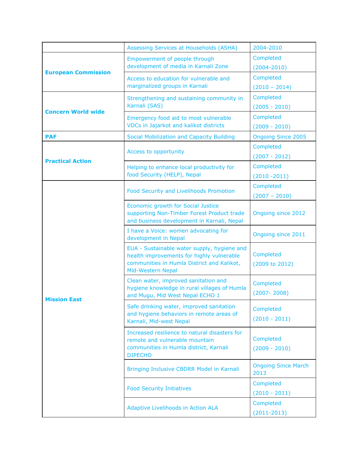|                                                                                                     | 2004-2010<br>Assessing Services at Households (ASHA)                                                                                                        |                                    |
|-----------------------------------------------------------------------------------------------------|-------------------------------------------------------------------------------------------------------------------------------------------------------------|------------------------------------|
|                                                                                                     | Empowerment of people through<br>development of media in Karnali Zone                                                                                       | Completed<br>$(2004 - 2010)$       |
| <b>European Commission</b>                                                                          | Access to education for vulnerable and<br>marginalized groups in Karnali                                                                                    | Completed<br>$(2010 - 2014)$       |
|                                                                                                     | Strengthening and sustaining community in<br>Karnali (SAS)                                                                                                  | Completed<br>$(2005 - 2010)$       |
| <b>Concern World wide</b>                                                                           | Emergency food aid to most vulnerable<br>VDCs in Jajarkot and kalikot districts                                                                             | Completed<br>$(2009 - 2010)$       |
| <b>PAF</b>                                                                                          | Social Mobilization and Capacity Building                                                                                                                   | <b>Ongoing Since 2005</b>          |
|                                                                                                     | Access to opportunity                                                                                                                                       | Completed<br>$(2007 - 2012)$       |
| <b>Practical Action</b><br>Helping to enhance local productivity for<br>food Security (HELP), Nepal |                                                                                                                                                             | Completed<br>$(2010 - 2011)$       |
|                                                                                                     | Food Security and Livelihoods Promotion                                                                                                                     | Completed<br>$(2007 - 2010)$       |
|                                                                                                     | Economic growth for Social Justice<br>supporting Non-Timber Forest Product trade<br>and business development in Karnali, Nepal                              | <b>Ongoing since 2012</b>          |
|                                                                                                     | I have a Voice: women advocating for<br>development in Nepal                                                                                                | Ongoing since 2011                 |
|                                                                                                     | EUA - Sustainable water supply, hygiene and<br>health improvements for highly vulnerable<br>communities in Humla District and Kalikot,<br>Mid-Western Nepal | Completed<br>(2009 to 2012)        |
| <b>Mission East</b>                                                                                 | Clean water, improved sanitation and<br>hygiene knowledge in rural villages of Humla<br>and Mugu, Mid West Nepal ECHO 1                                     | Completed<br>$(2007 - 2008)$       |
|                                                                                                     | Safe drinking water, improved sanitation<br>and hygiene behaviors in remote areas of<br>Karnali, Mid-west Nepal                                             | Completed<br>$(2010 - 2011)$       |
|                                                                                                     | Increased resilience to natural disasters for<br>remote and vulnerable mountain<br>communities in Humla district, Karnali<br><b>DIPECHO</b>                 | Completed<br>$(2009 - 2010)$       |
|                                                                                                     | Bringing Inclusive CBDRR Model in Karnali                                                                                                                   | <b>Ongoing Since March</b><br>2013 |
|                                                                                                     | <b>Food Security Initiatives</b>                                                                                                                            | Completed<br>$(2010 - 2011)$       |
|                                                                                                     | Adaptive Livelihoods in Action ALA                                                                                                                          | Completed<br>$(2011 - 2013)$       |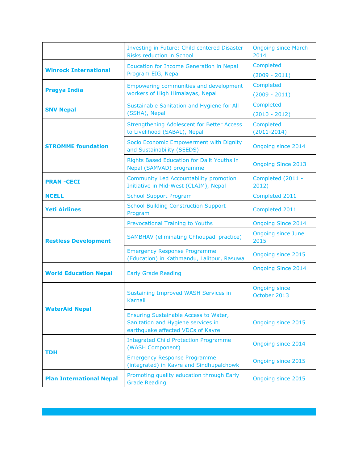|                                                                                                            | Investing in Future: Child centered Disaster<br><b>Risks reduction in School</b>                                 |                                      |
|------------------------------------------------------------------------------------------------------------|------------------------------------------------------------------------------------------------------------------|--------------------------------------|
| <b>Winrock International</b>                                                                               | <b>Education for Income Generation in Nepal</b><br>Program EIG, Nepal                                            | Completed<br>$(2009 - 2011)$         |
| <b>Pragya India</b>                                                                                        | Empowering communities and development<br>workers of High Himalayas, Nepal                                       | Completed<br>$(2009 - 2011)$         |
| <b>SNV Nepal</b>                                                                                           | Sustainable Sanitation and Hygiene for All<br>(SSHA), Nepal                                                      | Completed<br>$(2010 - 2012)$         |
|                                                                                                            | <b>Strengthening Adolescent for Better Access</b><br>to Livelihood (SABAL), Nepal                                | Completed<br>$(2011 - 2014)$         |
| <b>STROMME foundation</b>                                                                                  | Socio Economic Empowerment with Dignity<br>and Sustainability (SEEDS)                                            | <b>Ongoing since 2014</b>            |
|                                                                                                            | Rights Based Education for Dalit Youths in<br>Nepal (SAMVAD) programme                                           | <b>Ongoing Since 2013</b>            |
| <b>Community Led Accountability promotion</b><br><b>PRAN-CECI</b><br>Initiative in Mid-West (CLAIM), Nepal |                                                                                                                  | Completed (2011 -<br>2012)           |
| <b>NCELL</b><br><b>School Support Program</b>                                                              |                                                                                                                  | Completed 2011                       |
| <b>Yeti Airlines</b>                                                                                       | <b>School Building Construction Support</b><br>Program                                                           | Completed 2011                       |
|                                                                                                            | <b>Prevocational Training to Youths</b>                                                                          | <b>Ongoing Since 2014</b>            |
| <b>Restless Development</b>                                                                                | SAMBHAV (eliminating Chhoupadi practice)                                                                         | <b>Ongoing since June</b><br>2015    |
|                                                                                                            | <b>Emergency Response Programme</b><br>(Education) in Kathmandu, Lalitpur, Rasuwa                                | <b>Ongoing since 2015</b>            |
| <b>World Education Nepal</b><br><b>Early Grade Reading</b>                                                 |                                                                                                                  | <b>Ongoing Since 2014</b>            |
| <b>WaterAid Nepal</b>                                                                                      | Sustaining Improved WASH Services in<br>Karnali                                                                  | <b>Ongoing since</b><br>October 2013 |
|                                                                                                            | Ensuring Sustainable Access to Water,<br>Sanitation and Hygiene services in<br>earthquake affected VDCs of Kavre | Ongoing since 2015                   |
| <b>TDH</b>                                                                                                 | <b>Integrated Child Protection Programme</b><br>(WASH Component)                                                 | <b>Ongoing since 2014</b>            |
|                                                                                                            | <b>Emergency Response Programme</b><br>(integrated) in Kavre and Sindhupalchowk                                  | Ongoing since 2015                   |
| <b>Plan International Nepal</b>                                                                            | Promoting quality education through Early<br>Ongoing since 2015<br><b>Grade Reading</b>                          |                                      |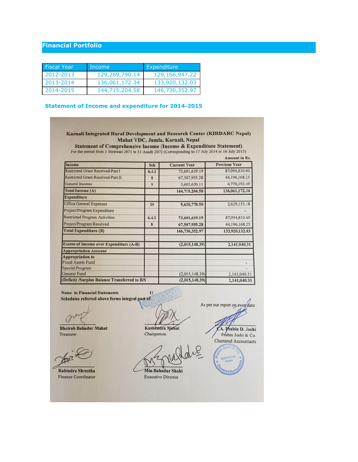# **Financial Portfolio**

| Fiscal Year | Income         | Expenditure    |
|-------------|----------------|----------------|
| 2012-2013   | 129,269,790.14 | 129,166,947.22 |
| 2013-2014   | 136,061,172.34 | 133,920,132.03 |
| 2014-2015   | 144,715,204.58 | 146,730,352.97 |

# **Statement of Income and expenditure for 2014-2015**

#### Karnali Integrated Rural Development and Research Center (KIRDARC Nepal) Mahat VDC, Jumla, Karnali, Nepal

**Statement of Comprehensive Income (Income & Expenditure Statement)** For the period from 1 Shrawan 2071 to 31 Asadh 2072 (Corresponding to 17 July 2014 to 16 July 2015)

|                                                |       |                     | <b>Amount in Rs.</b> |
|------------------------------------------------|-------|---------------------|----------------------|
| Income                                         | Sch   | <b>Current Year</b> | <b>Previous Year</b> |
| Restricted Grant Received-Part I               | 6.4.1 | 73,601,619.19       | 87,094,810.60        |
| <b>Restricted Grant Received-Part II</b>       | 8     | 67,507,955.28       | 44, 196, 168.25      |
| <b>General Income</b>                          | 9     | 3,605,630.11        | 4,770,193.49         |
| <b>Total Income (A)</b>                        |       | 144,715,204.58      | 136,061,172.34       |
| <b>Expenditure</b>                             |       |                     |                      |
| <b>Office General Expenses</b>                 | 10    | 5,620,778.50        | 2,629,153.18         |
| Project/Program Expenditure                    |       |                     |                      |
| <b>Restricted Program Activities</b>           | 6.4.1 | 73,601,619.19       | 87,094,810.60        |
| Project/Program Received                       | 8     | 67,507,955.28       | 44,196,168.25        |
| <b>Total Expenditure (B)</b>                   |       | 146,730,352.97      | 133,920,132.03       |
| <b>Excess of Income over Expenditure (A-B)</b> |       | (2,015,148.39)      | 2,141,040.31         |
| <b>Appropriation Account</b>                   |       |                     |                      |
| <b>Appropriation to</b>                        |       |                     |                      |
| <b>Fixed Assets Fund</b>                       |       |                     |                      |
| <b>Special Program</b>                         |       |                     |                      |
| General Fund                                   |       | (2,015,148.39)      | 2,141,040.31         |
| (Deficit) /Surplus Balance Transferred to B/S  |       | (2,015,148.39)      | 2,141,040.31         |

**Notes to Financial Statements**  $\overline{11}$ Schedules referred above forms integral part of As per our report on every date 0 **Bhairab Bahadur Mahat** Kushendra Mahat CA. Prabin D. Joshi Chairperson Treasurer Prabin Joshi & Co. Chartered Accountants Ka Min Bahadur Shahi Rabindra Shrestha **Finance Coordinator** 

**Executive Director**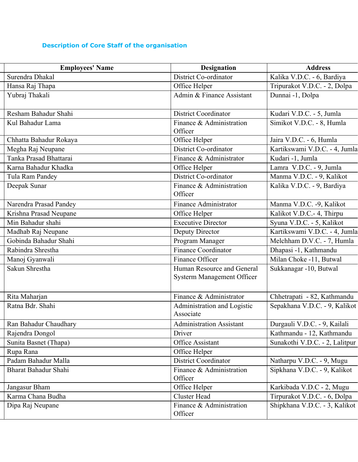# **Description of Core Staff of the organisation**

| <b>Employees' Name</b>      | <b>Designation</b>                                              | <b>Address</b>                 |
|-----------------------------|-----------------------------------------------------------------|--------------------------------|
| Surendra Dhakal             | District Co-ordinator                                           | Kalika V.D.C. - 6, Bardiya     |
| Hansa Raj Thapa             | Office Helper                                                   | Tripurakot V.D.C. - 2, Dolpa   |
| Yubraj Thakali              | Admin & Finance Assistant                                       | Dunnai -1, Dolpa               |
| Resham Bahadur Shahi        | <b>District Coordinator</b>                                     | Kudari V.D.C. - 5, Jumla       |
| Kul Bahadur Lama            | Finance & Administration<br>Officer                             | Simikot V.D.C. - 8, Humla      |
| Chhatta Bahadur Rokaya      | Office Helper                                                   | Jaira V.D.C. - 6, Humla        |
| Megha Raj Neupane           | District Co-ordinator                                           | Kartikswami V.D.C. - 4, Jumla  |
| Tanka Prasad Bhattarai      | Finance & Administrator                                         | Kudari -1, Jumla               |
| Karna Bahadur Khadka        | Office Helper                                                   | Lamra V.D.C. - 9, Jumla        |
| Tula Ram Pandey             | District Co-ordinator                                           | Manma V.D.C. - 9, Kalikot      |
| Deepak Sunar                | Finance & Administration<br>Officer                             | Kalika V.D.C. - 9, Bardiya     |
| Narendra Prasad Pandey      | Finance Administrator                                           | Manma V.D.C. -9, Kalikot       |
| Krishna Prasad Neupane      | Office Helper                                                   | Kalikot V.D.C.- 4, Thirpu      |
| Min Bahadur shahi           | <b>Executive Director</b>                                       | Syuna V.D.C. - 5, Kalikot      |
| Madhab Raj Neupane          | Deputy Director                                                 | Kartikswami V.D.C. - 4, Jumla  |
| Gobinda Bahadur Shahi       | Program Manager                                                 | Melchham D.V.C. - 7, Humla     |
| Rabindra Shrestha           | <b>Finance Coordinator</b>                                      | Dhapasi -1, Kathmandu          |
| Manoj Gyanwali              | Finance Officer                                                 | Milan Choke -11, Butwal        |
| Sakun Shrestha              | Human Resource and General<br><b>Systerm Management Officer</b> | Sukkanagar -10, Butwal         |
| Rita Maharjan               | Finance & Administrator                                         | Chhetrapati - 82, Kathmandu    |
| Ratna Bdr. Shahi            | Administration and Logistic<br>Associate                        | Sepakhana V.D.C. - 9, Kalikot  |
| Ran Bahadur Chaudhary       | <b>Administration Assistant</b>                                 | Durgauli V.D.C. - 9, Kailali   |
| Rajendra Dongol             | Driver                                                          | Kathmandu - 12, Kathmandu      |
| Sunita Basnet (Thapa)       | Office Assistant                                                | Sunakothi V.D.C. - 2, Lalitpur |
| Rupa Rana                   | Office Helper                                                   |                                |
| Padam Bahadur Malla         | <b>District Coordinator</b>                                     | Natharpu V.D.C. - 9, Mugu      |
| <b>Bharat Bahadur Shahi</b> | Finance & Administration<br>Officer                             | Sipkhana V.D.C. - 9, Kalikot   |
| Jangasur Bham               | Office Helper                                                   | Karkibada V.D.C - 2, Mugu      |
| Karma Chana Budha           | <b>Cluster Head</b>                                             | Tirpurakot V.D.C. - 6, Dolpa   |
| Dipa Raj Neupane            | Finance & Administration<br>Officer                             | Shipkhana V.D.C. - 3, Kalikot  |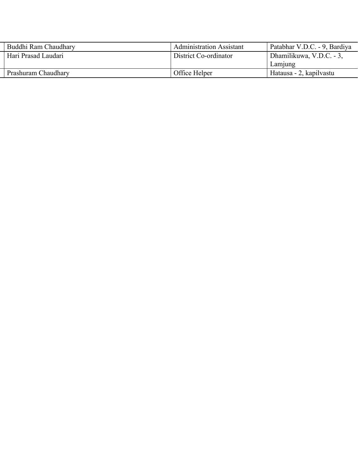| Buddhi Ram Chaudhary | <b>Administration Assistant</b> | Patabhar V.D.C. - 9, Bardiya |
|----------------------|---------------------------------|------------------------------|
| Hari Prasad Laudari  | District Co-ordinator           | Dhamilikuwa, V.D.C. - 3,     |
|                      |                                 | Lamjung                      |
| Prashuram Chaudhary  | Office Helper                   | Hatausa - 2, kapilvastu      |